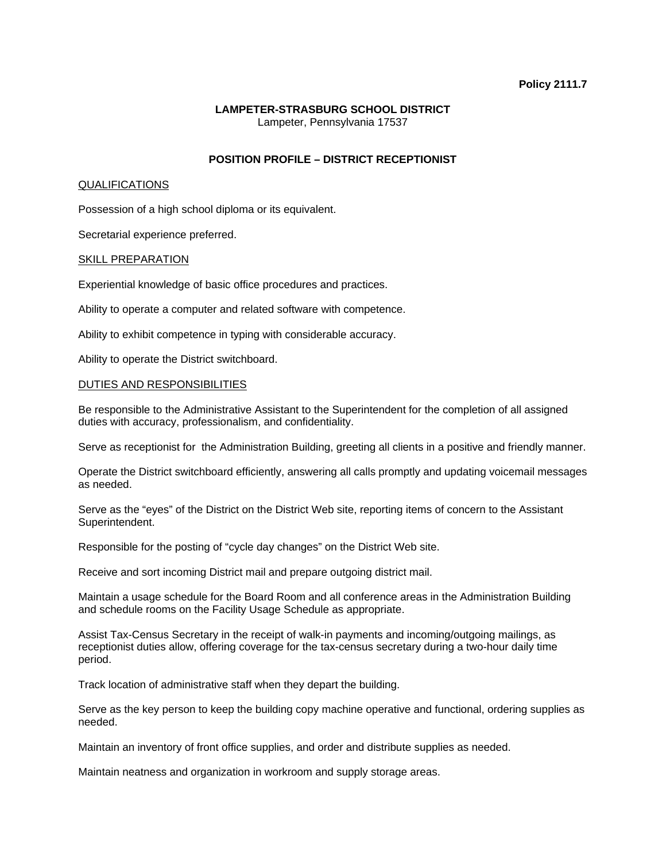## **Policy 2111.7**

# **LAMPETER-STRASBURG SCHOOL DISTRICT**  Lampeter, Pennsylvania 17537

## **POSITION PROFILE – DISTRICT RECEPTIONIST**

#### QUALIFICATIONS

Possession of a high school diploma or its equivalent.

Secretarial experience preferred.

#### SKILL PREPARATION

Experiential knowledge of basic office procedures and practices.

Ability to operate a computer and related software with competence.

Ability to exhibit competence in typing with considerable accuracy.

Ability to operate the District switchboard.

#### DUTIES AND RESPONSIBILITIES

Be responsible to the Administrative Assistant to the Superintendent for the completion of all assigned duties with accuracy, professionalism, and confidentiality.

Serve as receptionist for the Administration Building, greeting all clients in a positive and friendly manner.

Operate the District switchboard efficiently, answering all calls promptly and updating voicemail messages as needed.

Serve as the "eyes" of the District on the District Web site, reporting items of concern to the Assistant Superintendent.

Responsible for the posting of "cycle day changes" on the District Web site.

Receive and sort incoming District mail and prepare outgoing district mail.

Maintain a usage schedule for the Board Room and all conference areas in the Administration Building and schedule rooms on the Facility Usage Schedule as appropriate.

Assist Tax-Census Secretary in the receipt of walk-in payments and incoming/outgoing mailings, as receptionist duties allow, offering coverage for the tax-census secretary during a two-hour daily time period.

Track location of administrative staff when they depart the building.

Serve as the key person to keep the building copy machine operative and functional, ordering supplies as needed.

Maintain an inventory of front office supplies, and order and distribute supplies as needed.

Maintain neatness and organization in workroom and supply storage areas.